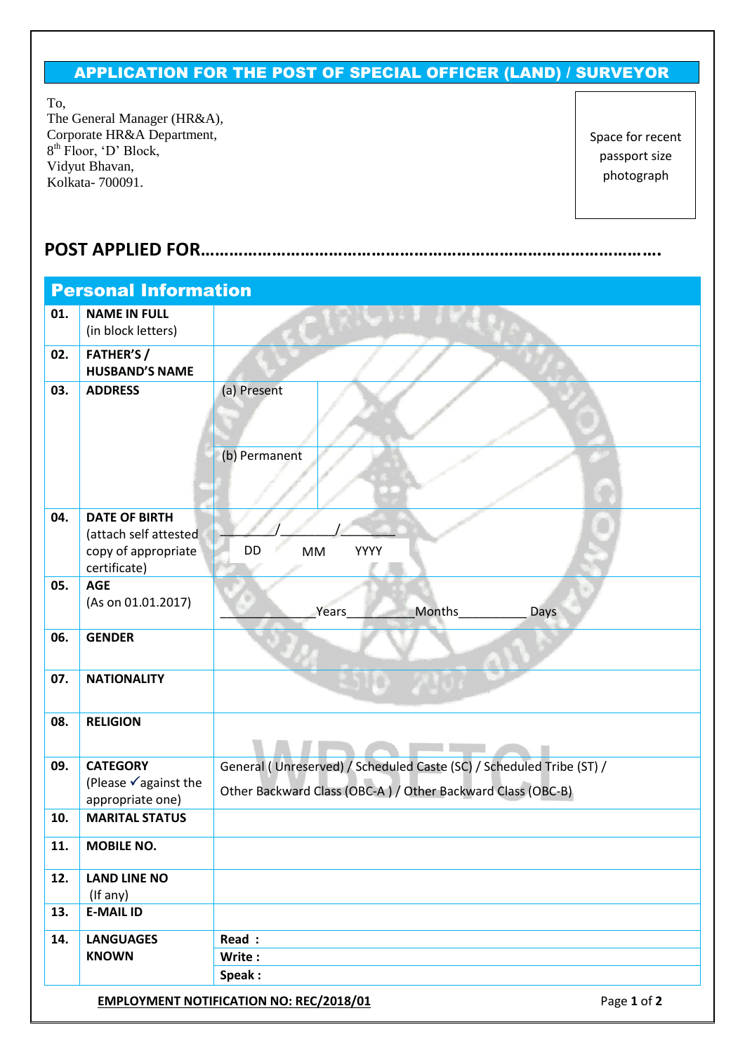## APPLICATION FOR THE POST OF SPECIAL OFFICER (LAND) / SURVEYOR

To,

The General Manager (HR&A), Corporate HR&A Department, 8<sup>th</sup> Floor, 'D' Block, Vidyut Bhavan, Kolkata- 700091.

Space for recent passport size photograph

## **POST APPLIED FOR…………………………………………………………………………………….**

| <b>Personal Information</b> |                                                                                      |                                                                                                                                     |  |  |  |  |  |
|-----------------------------|--------------------------------------------------------------------------------------|-------------------------------------------------------------------------------------------------------------------------------------|--|--|--|--|--|
| 01.                         | <b>NAME IN FULL</b><br>(in block letters)                                            |                                                                                                                                     |  |  |  |  |  |
| 02.                         | <b>FATHER'S /</b><br><b>HUSBAND'S NAME</b>                                           |                                                                                                                                     |  |  |  |  |  |
| 03.                         | <b>ADDRESS</b>                                                                       | (a) Present<br>(b) Permanent                                                                                                        |  |  |  |  |  |
| 04.                         | <b>DATE OF BIRTH</b><br>(attach self attested<br>copy of appropriate<br>certificate) | DD<br>YYYY<br><b>MM</b>                                                                                                             |  |  |  |  |  |
| 05.                         | <b>AGE</b><br>(As on 01.01.2017)                                                     | Years<br>Months<br>Days                                                                                                             |  |  |  |  |  |
| 06.                         | <b>GENDER</b>                                                                        |                                                                                                                                     |  |  |  |  |  |
| 07.                         | <b>NATIONALITY</b>                                                                   |                                                                                                                                     |  |  |  |  |  |
| 08.                         | <b>RELIGION</b>                                                                      |                                                                                                                                     |  |  |  |  |  |
| 09.                         | <b>CATEGORY</b><br>(Please √against the<br>appropriate one)                          | General (Unreserved) / Scheduled Caste (SC) / Scheduled Tribe (ST) /<br>Other Backward Class (OBC-A) / Other Backward Class (OBC-B) |  |  |  |  |  |
| 10.                         | <b>MARITAL STATUS</b>                                                                |                                                                                                                                     |  |  |  |  |  |
| 11.                         | <b>MOBILE NO.</b>                                                                    |                                                                                                                                     |  |  |  |  |  |
| 12.                         | <b>LAND LINE NO</b><br>(If any)                                                      |                                                                                                                                     |  |  |  |  |  |
| 13.                         | <b>E-MAIL ID</b>                                                                     |                                                                                                                                     |  |  |  |  |  |
| 14.                         | <b>LANGUAGES</b><br><b>KNOWN</b>                                                     | Read :<br>Write:<br>Speak:                                                                                                          |  |  |  |  |  |
|                             |                                                                                      | Page 1 of 2<br><b>EMPLOYMENT NOTIFICATION NO: REC/2018/01</b>                                                                       |  |  |  |  |  |